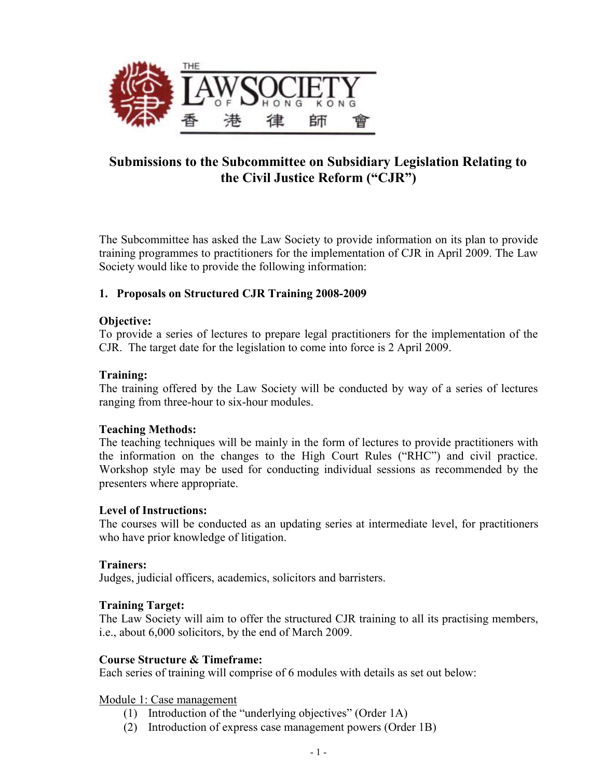

# **Submissions to the Subcommittee on Subsidiary Legislation Relating to the Civil Justice Reform ("CJR")**

The Subcommittee has asked the Law Society to provide information on its plan to provide training programmes to practitioners for the implementation of CJR in April 2009. The Law Society would like to provide the following information:

## **1. Proposals on Structured CJR Training 2008-2009**

## **Objective:**

To provide a series of lectures to prepare legal practitioners for the implementation of the CJR. The target date for the legislation to come into force is 2 April 2009.

#### **Training:**

The training offered by the Law Society will be conducted by way of a series of lectures ranging from three-hour to six-hour modules.

## **Teaching Methods:**

The teaching techniques will be mainly in the form of lectures to provide practitioners with the information on the changes to the High Court Rules ("RHC") and civil practice. Workshop style may be used for conducting individual sessions as recommended by the presenters where appropriate.

## **Level of Instructions:**

The courses will be conducted as an updating series at intermediate level, for practitioners who have prior knowledge of litigation.

#### **Trainers:**

Judges, judicial officers, academics, solicitors and barristers.

## **Training Target:**

The Law Society will aim to offer the structured CJR training to all its practising members, i.e., about 6,000 solicitors, by the end of March 2009.

## **Course Structure & Timeframe:**

Each series of training will comprise of 6 modules with details as set out below:

Module 1: Case management

- (1) Introduction of the "underlying objectives" (Order 1A)
- (2) Introduction of express case management powers (Order 1B)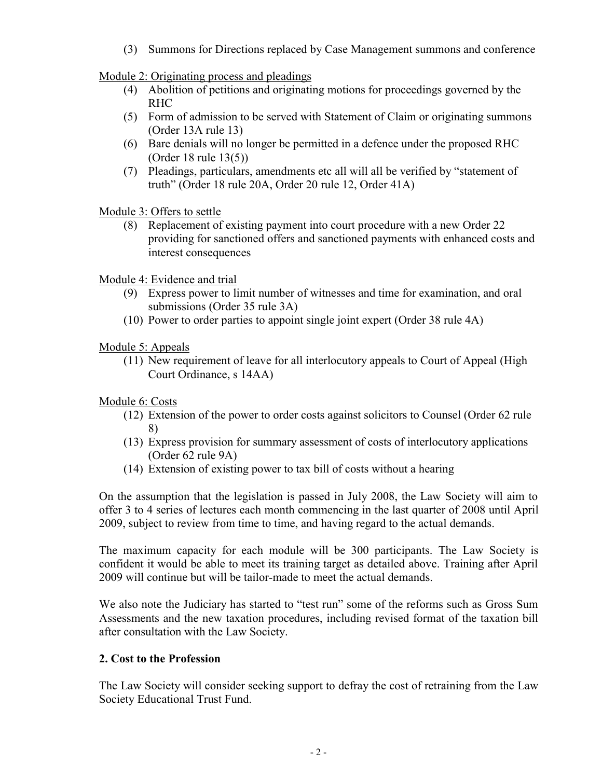(3) Summons for Directions replaced by Case Management summons and conference

Module 2: Originating process and pleadings

- (4) Abolition of petitions and originating motions for proceedings governed by the RHC
- (5) Form of admission to be served with Statement of Claim or originating summons (Order 13A rule 13)
- (6) Bare denials will no longer be permitted in a defence under the proposed RHC (Order 18 rule 13(5))
- (7) Pleadings, particulars, amendments etc all will all be verified by "statement of truth" (Order 18 rule 20A, Order 20 rule 12, Order 41A)

Module 3: Offers to settle

(8) Replacement of existing payment into court procedure with a new Order 22 providing for sanctioned offers and sanctioned payments with enhanced costs and interest consequences

Module 4: Evidence and trial

- (9) Express power to limit number of witnesses and time for examination, and oral submissions (Order 35 rule 3A)
- (10) Power to order parties to appoint single joint expert (Order 38 rule 4A)

Module 5: Appeals

(11) New requirement of leave for all interlocutory appeals to Court of Appeal (High Court Ordinance, s 14AA)

Module 6: Costs

- (12) Extension of the power to order costs against solicitors to Counsel (Order 62 rule 8)
- (13) Express provision for summary assessment of costs of interlocutory applications (Order 62 rule 9A)
- (14) Extension of existing power to tax bill of costs without a hearing

On the assumption that the legislation is passed in July 2008, the Law Society will aim to offer 3 to 4 series of lectures each month commencing in the last quarter of 2008 until April 2009, subject to review from time to time, and having regard to the actual demands.

The maximum capacity for each module will be 300 participants. The Law Society is confident it would be able to meet its training target as detailed above. Training after April 2009 will continue but will be tailor-made to meet the actual demands.

We also note the Judiciary has started to "test run" some of the reforms such as Gross Sum Assessments and the new taxation procedures, including revised format of the taxation bill after consultation with the Law Society.

## **2. Cost to the Profession**

The Law Society will consider seeking support to defray the cost of retraining from the Law Society Educational Trust Fund.